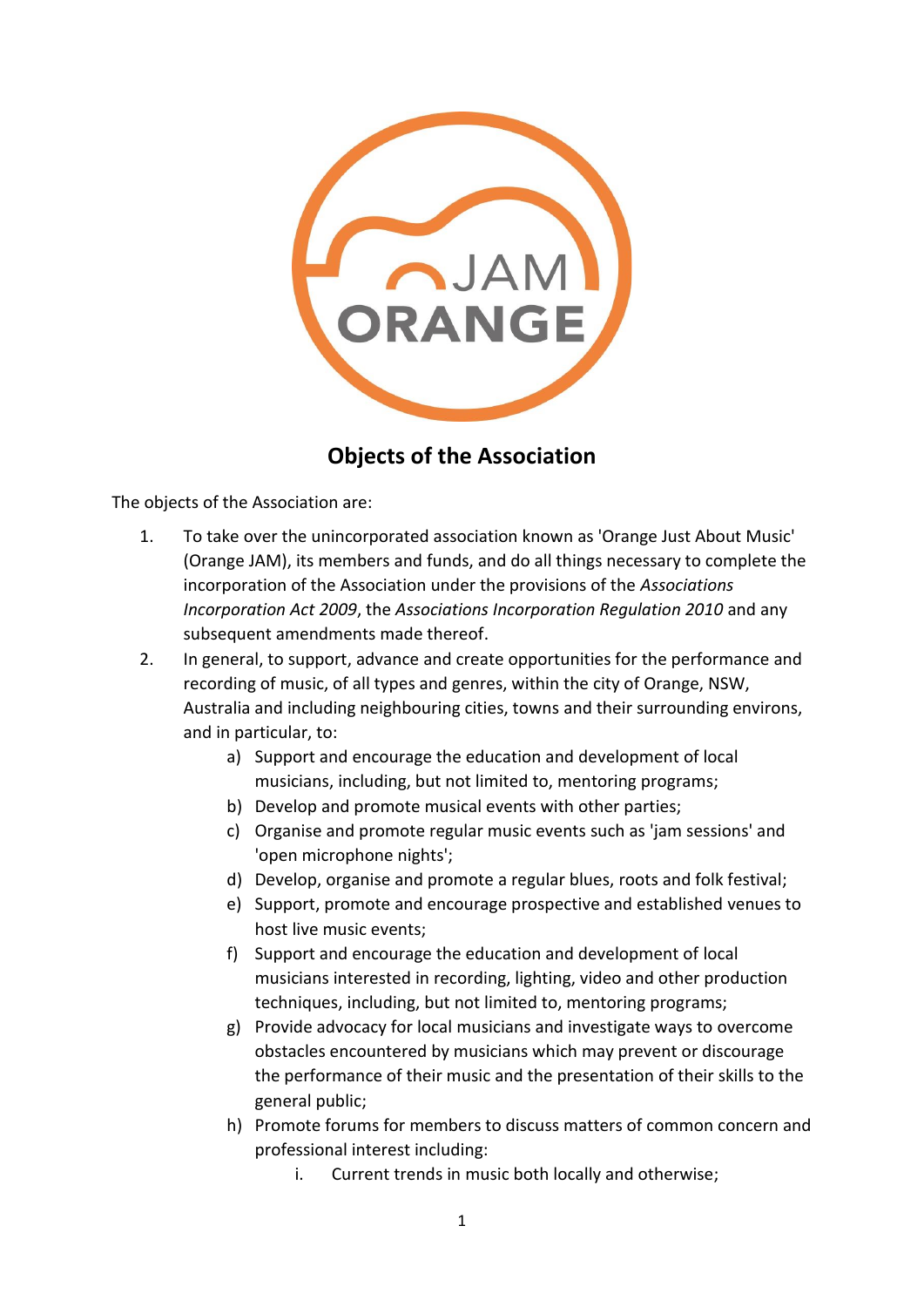

## **Objects of the Association**

The objects of the Association are:

- 1. To take over the unincorporated association known as 'Orange Just About Music' (Orange JAM), its members and funds, and do all things necessary to complete the incorporation of the Association under the provisions of the *Associations Incorporation Act 2009*, the *Associations Incorporation Regulation 2010* and any subsequent amendments made thereof.
- 2. In general, to support, advance and create opportunities for the performance and recording of music, of all types and genres, within the city of Orange, NSW, Australia and including neighbouring cities, towns and their surrounding environs, and in particular, to:
	- a) Support and encourage the education and development of local musicians, including, but not limited to, mentoring programs;
	- b) Develop and promote musical events with other parties;
	- c) Organise and promote regular music events such as 'jam sessions' and 'open microphone nights';
	- d) Develop, organise and promote a regular blues, roots and folk festival;
	- e) Support, promote and encourage prospective and established venues to host live music events;
	- f) Support and encourage the education and development of local musicians interested in recording, lighting, video and other production techniques, including, but not limited to, mentoring programs;
	- g) Provide advocacy for local musicians and investigate ways to overcome obstacles encountered by musicians which may prevent or discourage the performance of their music and the presentation of their skills to the general public;
	- h) Promote forums for members to discuss matters of common concern and professional interest including:
		- i. Current trends in music both locally and otherwise;